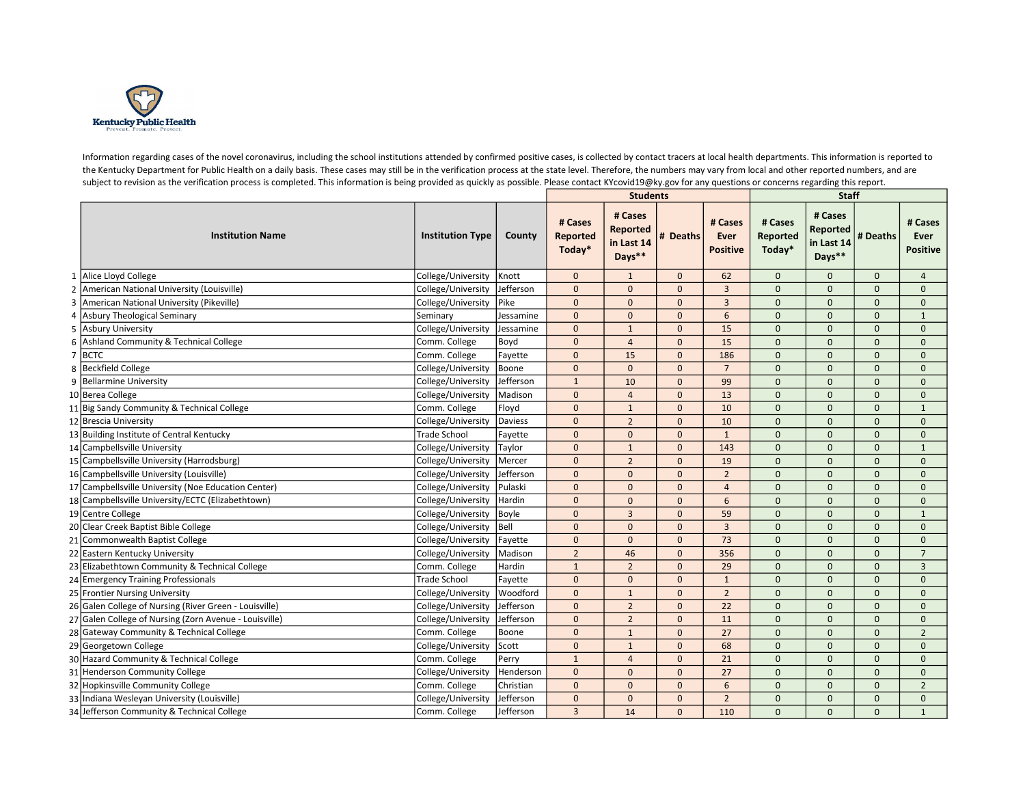

Information regarding cases of the novel coronavirus, including the school institutions attended by confirmed positive cases, is collected by contact tracers at local health departments. This information is reported to the Kentucky Department for Public Health on a daily basis. These cases may still be in the verification process at the state level. Therefore, the numbers may vary from local and other reported numbers, and are subject to revision as the verification process is completed. This information is being provided as quickly as possible. Please contact KYcovid19@ky.gov for any questions or concerns regarding this report.

|                                                        |                         |                 |                               | <b>Students</b>                                    |                |                                    |                               | <b>Staff</b>                                |              |                                           |  |
|--------------------------------------------------------|-------------------------|-----------------|-------------------------------|----------------------------------------------------|----------------|------------------------------------|-------------------------------|---------------------------------------------|--------------|-------------------------------------------|--|
| <b>Institution Name</b>                                | <b>Institution Type</b> | County          | # Cases<br>Reported<br>Today* | # Cases<br><b>Reported</b><br>in Last 14<br>Days** | # Deaths       | # Cases<br>Ever<br><b>Positive</b> | # Cases<br>Reported<br>Today* | # Cases<br>Reported<br>in Last 14<br>Days** | # Deaths     | # Cases<br><b>Ever</b><br><b>Positive</b> |  |
| 1 Alice Lloyd College                                  | College/University      | Knott           | $\mathbf 0$                   | $\mathbf{1}$                                       | $\mathbf{0}$   | 62                                 | $\mathbf 0$                   | $\mathbf 0$                                 | $\mathbf{0}$ | $\overline{4}$                            |  |
| 2 American National University (Louisville)            | College/University      | Jefferson       | $\mathbf{0}$                  | $\Omega$                                           | $\Omega$       | $\overline{3}$                     | $\mathbf{0}$                  | $\Omega$                                    | $\Omega$     | $\Omega$                                  |  |
| 3 American National University (Pikeville)             | College/University      | <b>Pike</b>     | $\mathbf{0}$                  | $\Omega$                                           | $\Omega$       | $\overline{3}$                     | $\mathbf{0}$                  | $\mathbf{0}$                                | $\mathbf 0$  | $\Omega$                                  |  |
| 4 Asbury Theological Seminary                          | Seminary                | Jessamine       | $\mathbf{0}$                  | $\mathbf{0}$                                       | $\mathbf{0}$   | 6                                  | $\mathbf{0}$                  | $\mathbf{0}$                                | $\mathbf{0}$ | $\mathbf{1}$                              |  |
| 5 Asbury University                                    | College/University      | Jessamine       | $\mathbf{0}$                  | $\mathbf{1}$                                       | $\mathbf{0}$   | 15                                 | $\mathbf{0}$                  | $\mathbf{0}$                                | $\mathbf{0}$ | $\mathbf 0$                               |  |
| 6 Ashland Community & Technical College                | Comm. College           | Boyd            | $\Omega$                      | $\overline{4}$                                     | $\Omega$       | 15                                 | $\mathbf{0}$                  | $\Omega$                                    | $\Omega$     | $\mathbf{0}$                              |  |
| $7$ BCTC                                               | Comm. College           | Fayette         | $\pmb{0}$                     | 15                                                 | $\mathbf{0}$   | 186                                | $\mathbf 0$                   | $\mathbf 0$                                 | $\mathbf{0}$ | $\mathbf 0$                               |  |
| 8 Beckfield College                                    | College/University      | Boone           | $\mathbf{0}$                  | $\mathbf{0}$                                       | $\mathbf{0}$   | $\overline{7}$                     | $\mathbf 0$                   | $\mathbf{0}$                                | $\mathbf{0}$ | $\mathbf 0$                               |  |
| 9 Bellarmine University                                | College/University      | Jefferson       | $\mathbf{1}$                  | 10                                                 | $\Omega$       | 99                                 | $\mathbf{0}$                  | $\mathbf{0}$                                | $\mathbf{0}$ | $\Omega$                                  |  |
| 10 Berea College                                       | College/University      | Madison         | $\mathbf 0$                   | $\overline{4}$                                     | $\mathbf{0}$   | 13                                 | $\mathbf 0$                   | $\mathbf{0}$                                | $\mathbf{0}$ | $\mathbf{0}$                              |  |
| 11 Big Sandy Community & Technical College             | Comm. College           | Floyd           | $\mathbf{0}$                  | $\overline{1}$                                     | $\mathbf{0}$   | 10                                 | $\mathbf{0}$                  | $\mathbf{0}$                                | $\Omega$     | $\mathbf{1}$                              |  |
| 12 Brescia University                                  | College/University      | Daviess         | $\mathbf{0}$                  | $\overline{2}$                                     | $\Omega$       | 10                                 | $\mathbf{0}$                  | $\mathbf{0}$                                | $\Omega$     | $\mathbf{0}$                              |  |
| 13 Building Institute of Central Kentucky              | <b>Trade School</b>     | Fayette         | $\mathbf{0}$                  | $\overline{0}$                                     | $\mathbf{0}$   | $\mathbf{1}$                       | $\mathbf{0}$                  | $\mathbf{0}$                                | $\mathbf{0}$ | $\mathbf{0}$                              |  |
| 14 Campbellsville University                           | College/University      | Taylor          | $\mathbf{0}$                  | $\overline{1}$                                     | $\mathbf{0}$   | 143                                | $\mathbf{0}$                  | $\mathbf{0}$                                | $\mathbf{0}$ | $\mathbf{1}$                              |  |
| 15 Campbellsville University (Harrodsburg)             | College/University      | Mercer          | $\Omega$                      | $\overline{2}$                                     | $\Omega$       | 19                                 | $\mathbf{0}$                  | $\Omega$                                    | $\Omega$     | $\Omega$                                  |  |
| 16 Campbellsville University (Louisville)              | College/University      | Jefferson       | $\mathbf{0}$                  | $\mathbf{0}$                                       | $\mathbf{0}$   | $\overline{2}$                     | $\mathbf{0}$                  | $\mathbf{0}$                                | $\mathbf 0$  | $\mathbf 0$                               |  |
| 17 Campbellsville University (Noe Education Center)    | College/University      | Pulaski         | $\mathbf{0}$                  | $\mathbf{0}$                                       | $\mathbf{0}$   | $\overline{4}$                     | $\mathbf{0}$                  | $\mathbf{0}$                                | $\mathbf 0$  | $\mathbf 0$                               |  |
| 18 Campbellsville University/ECTC (Elizabethtown)      | College/University      | Hardin          | $\pmb{0}$                     | $\mathbf{0}$                                       | $\mathbf{0}$   | 6                                  | $\mathbf{0}$                  | $\mathbf{0}$                                | $\mathbf{0}$ | $\mathbf{0}$                              |  |
| 19 Centre College                                      | College/University      | Boyle           | $\mathbf{0}$                  | $\overline{3}$                                     | $\Omega$       | 59                                 | $\mathbf{0}$                  | $\Omega$                                    | $\Omega$     | $\mathbf{1}$                              |  |
| 20 Clear Creek Baptist Bible College                   | College/University      | $ $ Bell        | $\pmb{0}$                     | $\mathbf{0}$                                       | $\mathbf{0}$   | $\overline{3}$                     | $\mathbf{0}$                  | $\mathbf 0$                                 | $\mathbf{0}$ | $\mathbf 0$                               |  |
| 21 Commonwealth Baptist College                        | College/University      | Fayette         | $\mathbf{0}$                  | $\Omega$                                           | $\mathbf{0}$   | 73                                 | $\mathbf{0}$                  | $\mathbf{0}$                                | $\Omega$     | $\mathbf{0}$                              |  |
| 22 Eastern Kentucky University                         | College/University      | Madison         | $\overline{2}$                | 46                                                 | $\mathbf{0}$   | 356                                | $\mathbf{0}$                  | $\mathbf{0}$                                | $\mathbf 0$  | $\overline{7}$                            |  |
| 23 Elizabethtown Community & Technical College         | Comm. College           | Hardin          | $\mathbf{1}$                  | $\overline{2}$                                     | $\mathbf{0}$   | 29                                 | $\mathbf 0$                   | $\mathbf{0}$                                | $\mathbf{0}$ | $\overline{3}$                            |  |
| 24 Emergency Training Professionals                    | <b>Trade School</b>     | Fayette         | $\pmb{0}$                     | $\mathbf 0$                                        | $\mathbf{0}$   | $\mathbf{1}$                       | $\mathbf 0$                   | $\mathbf{0}$                                | $\mathbf 0$  | $\mathbf 0$                               |  |
| 25 Frontier Nursing University                         | College/University      | <b>Woodford</b> | $\mathbf{0}$                  | $\mathbf{1}$                                       | $\mathbf{0}$   | $\overline{2}$                     | $\mathbf{0}$                  | $\Omega$                                    | $\Omega$     | $\Omega$                                  |  |
| 26 Galen College of Nursing (River Green - Louisville) | College/University      | Jefferson       | $\mathbf 0$                   | $\overline{2}$                                     | $\mathbf{0}$   | 22                                 | $\mathbf 0$                   | $\mathbf{0}$                                | $\mathbf{0}$ | $\mathbf{0}$                              |  |
| 27 Galen College of Nursing (Zorn Avenue - Louisville) | College/University      | Jefferson       | $\pmb{0}$                     | $\overline{2}$                                     | $\overline{0}$ | 11                                 | $\mathbf{0}$                  | $\mathbf{0}$                                | $\mathbf{0}$ | $\mathbf{0}$                              |  |
| 28 Gateway Community & Technical College               | Comm. College           | Boone           | $\mathbf{0}$                  | $\mathbf{1}$                                       | $\mathbf{0}$   | 27                                 | $\mathbf{0}$                  | $\mathbf{0}$                                | $\mathbf{0}$ | $\overline{2}$                            |  |
| 29 Georgetown College                                  | College/University      | Scott           | $\mathbf{0}$                  | $\overline{1}$                                     | $\mathbf{0}$   | 68                                 | $\mathbf{0}$                  | $\mathbf{0}$                                | $\mathbf{0}$ | $\mathbf{0}$                              |  |
| 30 Hazard Community & Technical College                | Comm. College           | Perry           | $\mathbf{1}$                  | $\overline{4}$                                     | $\mathbf{0}$   | 21                                 | $\mathbf{0}$                  | $\mathbf{0}$                                | $\mathbf{0}$ | $\mathbf{0}$                              |  |
| 31 Henderson Community College                         | College/University      | Henderson       | $\mathbf{0}$                  | $\mathbf{0}$                                       | $\Omega$       | 27                                 | $\mathbf{0}$                  | $\mathbf{0}$                                | $\mathbf{0}$ | $\mathbf 0$                               |  |
| 32 Hopkinsville Community College                      | Comm. College           | Christian       | $\mathbf{0}$                  | $\mathbf{0}$                                       | $\mathbf{0}$   | 6                                  | $\mathbf{0}$                  | $\mathbf{0}$                                | $\Omega$     | $\overline{2}$                            |  |
| 33 Indiana Wesleyan University (Louisville)            | College/University      | Jefferson       | $\mathbf 0$                   | $\overline{0}$                                     | $\mathbf{0}$   | $\overline{2}$                     | $\mathbf 0$                   | $\mathbf{0}$                                | $\mathbf 0$  | $\mathbf{0}$                              |  |
| 34 Jefferson Community & Technical College             | Comm. College           | Jefferson       | $\overline{3}$                | 14                                                 | $\Omega$       | 110                                | $\Omega$                      | $\Omega$                                    | $\Omega$     | $\mathbf{1}$                              |  |